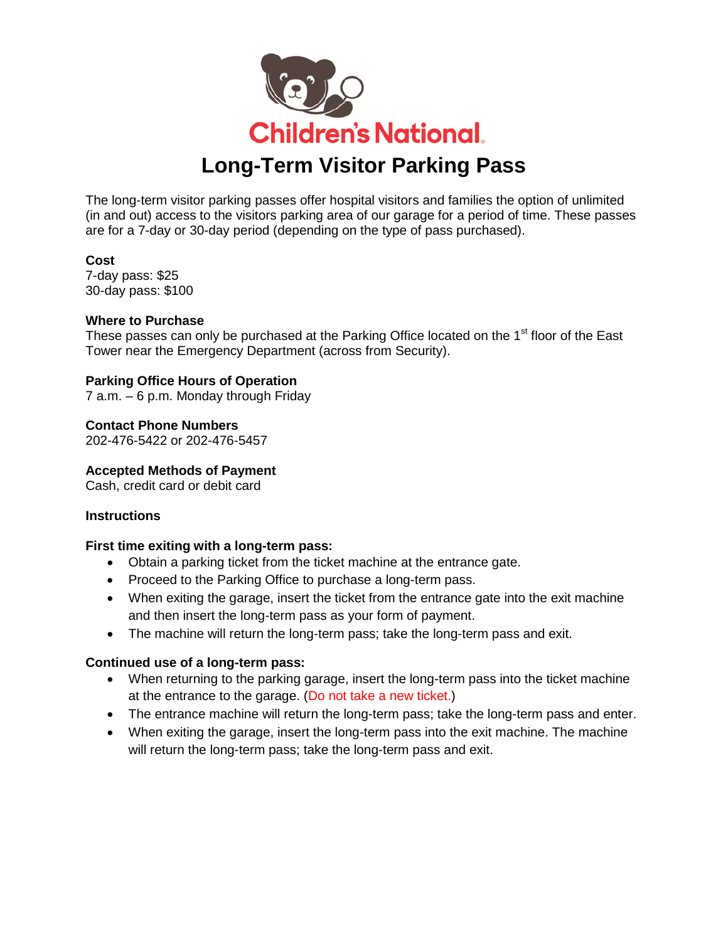

The long-term visitor parking passes offer hospital visitors and families the option of unlimited (in and out) access to the visitors parking area of our garage for a period of time. These passes are for a 7-day or 30-day period (depending on the type of pass purchased).

### **Cost**

7-day pass: \$25 30-day pass: \$100

### **Where to Purchase**

These passes can only be purchased at the Parking Office located on the 1<sup>st</sup> floor of the East Tower near the Emergency Department (across from Security).

## **Parking Office Hours of Operation**

7 a.m. – 6 p.m. Monday through Friday

**Contact Phone Numbers** 202-476-5422 or 202-476-5457

**Accepted Methods of Payment**

Cash, credit card or debit card

#### **Instructions**

#### **First time exiting with a long-term pass:**

- Obtain a parking ticket from the ticket machine at the entrance gate.
- Proceed to the Parking Office to purchase a long-term pass.
- When exiting the garage, insert the ticket from the entrance gate into the exit machine and then insert the long-term pass as your form of payment.
- The machine will return the long-term pass; take the long-term pass and exit.

#### **Continued use of a long-term pass:**

- When returning to the parking garage, insert the long-term pass into the ticket machine at the entrance to the garage. (Do not take a new ticket.)
- The entrance machine will return the long-term pass; take the long-term pass and enter.
- When exiting the garage, insert the long-term pass into the exit machine. The machine will return the long-term pass; take the long-term pass and exit.